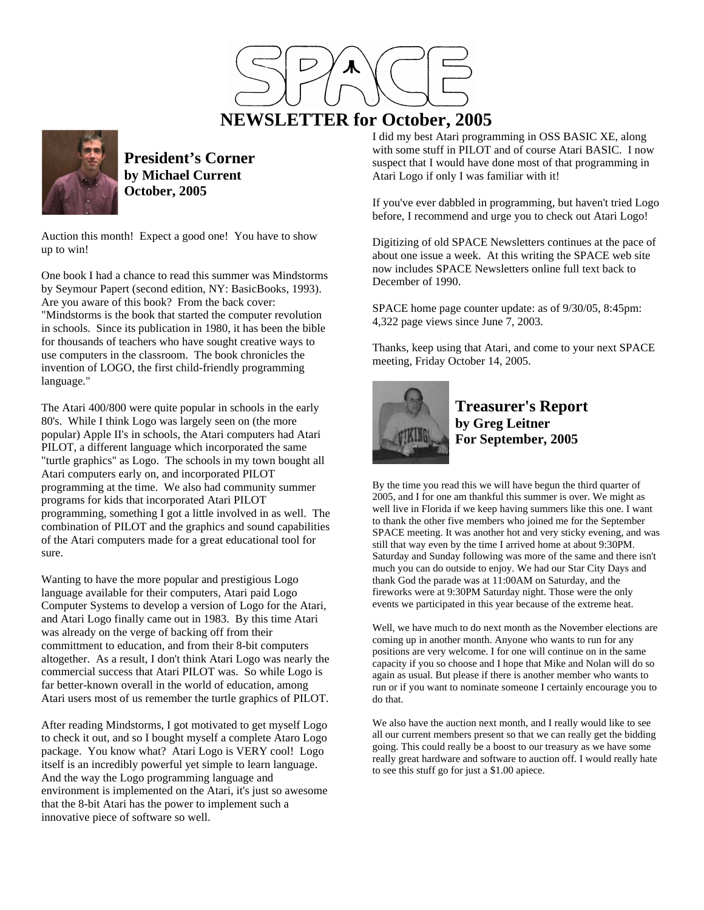

# **NEWSLETTER for October, 2005**



**President's Corner by Michael Current October, 2005**

Auction this month! Expect a good one! You have to show up to win!

One book I had a chance to read this summer was Mindstorms by Seymour Papert (second edition, NY: BasicBooks, 1993). Are you aware of this book? From the back cover: "Mindstorms is the book that started the computer revolution in schools. Since its publication in 1980, it has been the bible for thousands of teachers who have sought creative ways to use computers in the classroom. The book chronicles the invention of LOGO, the first child-friendly programming language."

The Atari 400/800 were quite popular in schools in the early 80's. While I think Logo was largely seen on (the more popular) Apple II's in schools, the Atari computers had Atari PILOT, a different language which incorporated the same "turtle graphics" as Logo. The schools in my town bought all Atari computers early on, and incorporated PILOT programming at the time. We also had community summer programs for kids that incorporated Atari PILOT programming, something I got a little involved in as well. The combination of PILOT and the graphics and sound capabilities of the Atari computers made for a great educational tool for sure.

Wanting to have the more popular and prestigious Logo language available for their computers, Atari paid Logo Computer Systems to develop a version of Logo for the Atari, and Atari Logo finally came out in 1983. By this time Atari was already on the verge of backing off from their committment to education, and from their 8-bit computers altogether. As a result, I don't think Atari Logo was nearly the commercial success that Atari PILOT was. So while Logo is far better-known overall in the world of education, among Atari users most of us remember the turtle graphics of PILOT.

After reading Mindstorms, I got motivated to get myself Logo to check it out, and so I bought myself a complete Ataro Logo package. You know what? Atari Logo is VERY cool! Logo itself is an incredibly powerful yet simple to learn language. And the way the Logo programming language and environment is implemented on the Atari, it's just so awesome that the 8-bit Atari has the power to implement such a innovative piece of software so well.

I did my best Atari programming in OSS BASIC XE, along with some stuff in PILOT and of course Atari BASIC. I now suspect that I would have done most of that programming in Atari Logo if only I was familiar with it!

If you've ever dabbled in programming, but haven't tried Logo before, I recommend and urge you to check out Atari Logo!

Digitizing of old SPACE Newsletters continues at the pace of about one issue a week. At this writing the SPACE web site now includes SPACE Newsletters online full text back to December of 1990.

SPACE home page counter update: as of 9/30/05, 8:45pm: 4,322 page views since June 7, 2003.

Thanks, keep using that Atari, and come to your next SPACE meeting, Friday October 14, 2005.



**Treasurer's Report by Greg Leitner For September, 2005**

By the time you read this we will have begun the third quarter of 2005, and I for one am thankful this summer is over. We might as well live in Florida if we keep having summers like this one. I want to thank the other five members who joined me for the September SPACE meeting. It was another hot and very sticky evening, and was still that way even by the time I arrived home at about 9:30PM. Saturday and Sunday following was more of the same and there isn't much you can do outside to enjoy. We had our Star City Days and thank God the parade was at 11:00AM on Saturday, and the fireworks were at 9:30PM Saturday night. Those were the only events we participated in this year because of the extreme heat.

Well, we have much to do next month as the November elections are coming up in another month. Anyone who wants to run for any positions are very welcome. I for one will continue on in the same capacity if you so choose and I hope that Mike and Nolan will do so again as usual. But please if there is another member who wants to run or if you want to nominate someone I certainly encourage you to do that.

We also have the auction next month, and I really would like to see all our current members present so that we can really get the bidding going. This could really be a boost to our treasury as we have some really great hardware and software to auction off. I would really hate to see this stuff go for just a \$1.00 apiece.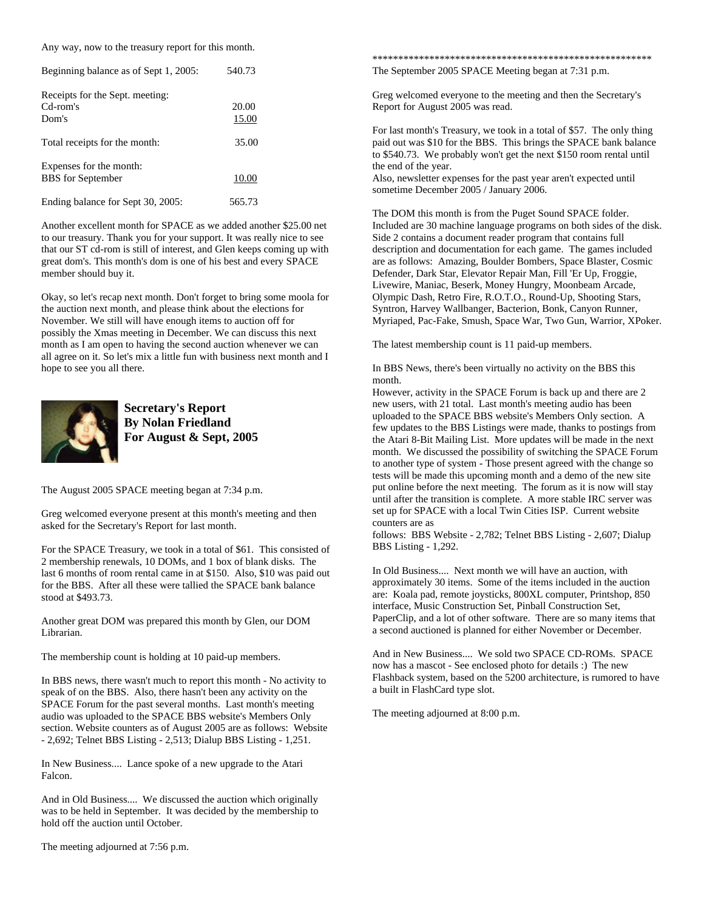Any way, now to the treasury report for this month.

| Beginning balance as of Sept 1, 2005:                | 540.73         |  |
|------------------------------------------------------|----------------|--|
| Receipts for the Sept. meeting:<br>Cd-rom's<br>Dom's | 20.00<br>15.00 |  |
| Total receipts for the month:                        | 35.00          |  |
| Expenses for the month:<br><b>BBS</b> for September  | 10.00          |  |
| Ending balance for Sept 30, 2005:                    | 565.73         |  |

Another excellent month for SPACE as we added another \$25.00 net to our treasury. Thank you for your support. It was really nice to see that our ST cd-rom is still of interest, and Glen keeps coming up with great dom's. This month's dom is one of his best and every SPACE member should buy it.

Okay, so let's recap next month. Don't forget to bring some moola for the auction next month, and please think about the elections for November. We still will have enough items to auction off for possibly the Xmas meeting in December. We can discuss this next month as I am open to having the second auction whenever we can all agree on it. So let's mix a little fun with business next month and I hope to see you all there.



**Secretary's Report By Nolan Friedland For August & Sept, 2005**

The August 2005 SPACE meeting began at 7:34 p.m.

Greg welcomed everyone present at this month's meeting and then asked for the Secretary's Report for last month.

For the SPACE Treasury, we took in a total of \$61. This consisted of 2 membership renewals, 10 DOMs, and 1 box of blank disks. The last 6 months of room rental came in at \$150. Also, \$10 was paid out for the BBS. After all these were tallied the SPACE bank balance stood at \$493.73.

Another great DOM was prepared this month by Glen, our DOM Librarian.

The membership count is holding at 10 paid-up members.

In BBS news, there wasn't much to report this month - No activity to speak of on the BBS. Also, there hasn't been any activity on the SPACE Forum for the past several months. Last month's meeting audio was uploaded to the SPACE BBS website's Members Only section. Website counters as of August 2005 are as follows: Website - 2,692; Telnet BBS Listing - 2,513; Dialup BBS Listing - 1,251.

In New Business.... Lance spoke of a new upgrade to the Atari Falcon.

And in Old Business.... We discussed the auction which originally was to be held in September. It was decided by the membership to hold off the auction until October.

The meeting adjourned at 7:56 p.m.

\*\*\*\*\*\*\*\*\*\*\*\*\*\*\*\*\*\*\*\*\*\*\*\*\*\*\*\*\*\*\*\*\*\*\*\*\*\*\*\*\*\*\*\*\*\*\*\*\*\*\*\*\*\* The September 2005 SPACE Meeting began at 7:31 p.m.

Greg welcomed everyone to the meeting and then the Secretary's Report for August 2005 was read.

For last month's Treasury, we took in a total of \$57. The only thing paid out was \$10 for the BBS. This brings the SPACE bank balance to \$540.73. We probably won't get the next \$150 room rental until the end of the year.

Also, newsletter expenses for the past year aren't expected until sometime December 2005 / January 2006.

The DOM this month is from the Puget Sound SPACE folder. Included are 30 machine language programs on both sides of the disk. Side 2 contains a document reader program that contains full description and documentation for each game. The games included are as follows: Amazing, Boulder Bombers, Space Blaster, Cosmic Defender, Dark Star, Elevator Repair Man, Fill 'Er Up, Froggie, Livewire, Maniac, Beserk, Money Hungry, Moonbeam Arcade, Olympic Dash, Retro Fire, R.O.T.O., Round-Up, Shooting Stars, Syntron, Harvey Wallbanger, Bacterion, Bonk, Canyon Runner, Myriaped, Pac-Fake, Smush, Space War, Two Gun, Warrior, XPoker.

The latest membership count is 11 paid-up members.

In BBS News, there's been virtually no activity on the BBS this month.

However, activity in the SPACE Forum is back up and there are 2 new users, with 21 total. Last month's meeting audio has been uploaded to the SPACE BBS website's Members Only section. A few updates to the BBS Listings were made, thanks to postings from the Atari 8-Bit Mailing List. More updates will be made in the next month. We discussed the possibility of switching the SPACE Forum to another type of system - Those present agreed with the change so tests will be made this upcoming month and a demo of the new site put online before the next meeting. The forum as it is now will stay until after the transition is complete. A more stable IRC server was set up for SPACE with a local Twin Cities ISP. Current website counters are as

follows: BBS Website - 2,782; Telnet BBS Listing - 2,607; Dialup BBS Listing - 1,292.

In Old Business.... Next month we will have an auction, with approximately 30 items. Some of the items included in the auction are: Koala pad, remote joysticks, 800XL computer, Printshop, 850 interface, Music Construction Set, Pinball Construction Set, PaperClip, and a lot of other software. There are so many items that a second auctioned is planned for either November or December.

And in New Business.... We sold two SPACE CD-ROMs. SPACE now has a mascot - See enclosed photo for details :) The new Flashback system, based on the 5200 architecture, is rumored to have a built in FlashCard type slot.

The meeting adjourned at 8:00 p.m.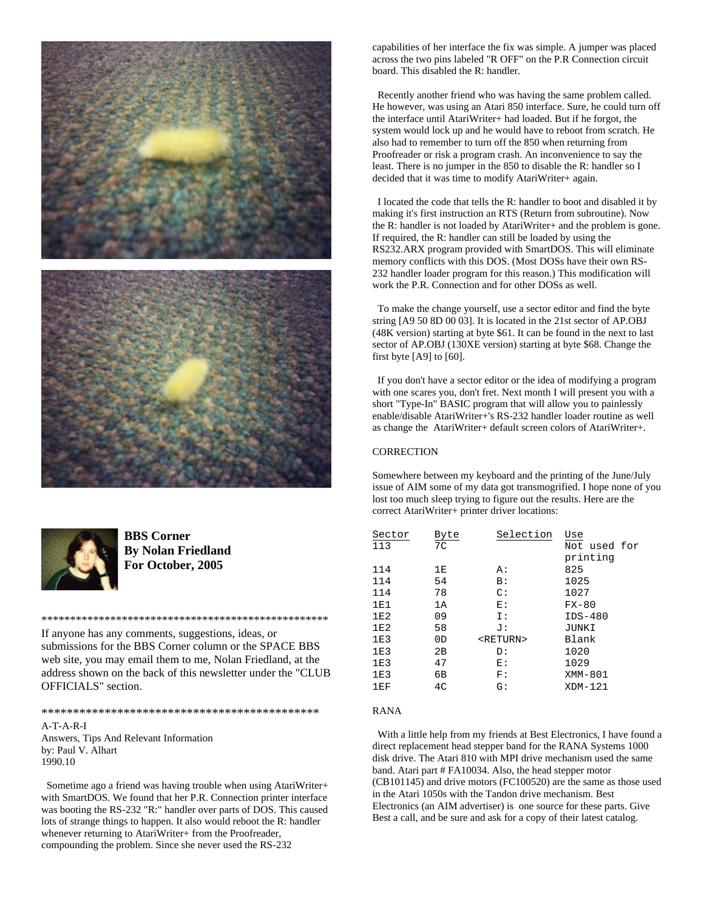



**BBS Corner By Nolan Friedland For October, 2005**

If anyone has any comments, suggestions, ideas, or submissions for the BBS Corner column or the SPACE BBS web site, you may email them to me, Nolan Friedland, at the address shown on the back of this newsletter under the "CLUB OFFICIALS" section.

\*\*\*\*\*\*\*\*\*\*\*\*\*\*\*\*\*\*\*\*\*\*\*\*\*\*\*\*\*\*\*\*\*\*\*\*\*\*\*\*\*\*\*\*\*\*\*\*\*\*

\*\*\*\*\*\*\*\*\*\*\*\*\*\*\*\*\*\*\*\*\*\*\*\*\*\*\*\*\*\*\*\*\*\*\*\*\*\*\*\*\*\*\*\*

A-T-A-R-I Answers, Tips And Relevant Information by: Paul V. Alhart 1990.10

 Sometime ago a friend was having trouble when using AtariWriter+ with SmartDOS. We found that her P.R. Connection printer interface was booting the RS-232 "R:" handler over parts of DOS. This caused lots of strange things to happen. It also would reboot the R: handler whenever returning to AtariWriter+ from the Proofreader, compounding the problem. Since she never used the RS-232

capabilities of her interface the fix was simple. A jumper was placed across the two pins labeled "R OFF" on the P.R Connection circuit board. This disabled the R: handler.

 Recently another friend who was having the same problem called. He however, was using an Atari 850 interface. Sure, he could turn off the interface until AtariWriter+ had loaded. But if he forgot, the system would lock up and he would have to reboot from scratch. He also had to remember to turn off the 850 when returning from Proofreader or risk a program crash. An inconvenience to say the least. There is no jumper in the 850 to disable the R: handler so I decided that it was time to modify AtariWriter+ again.

 I located the code that tells the R: handler to boot and disabled it by making it's first instruction an RTS (Return from subroutine). Now the R: handler is not loaded by AtariWriter+ and the problem is gone. If required, the R: handler can still be loaded by using the RS232.ARX program provided with SmartDOS. This will eliminate memory conflicts with this DOS. (Most DOSs have their own RS-232 handler loader program for this reason.) This modification will work the P.R. Connection and for other DOSs as well.

 To make the change yourself, use a sector editor and find the byte string [A9 50 8D 00 03]. It is located in the 21st sector of AP.OBJ (48K version) starting at byte \$61. It can be found in the next to last sector of AP.OBJ (130XE version) starting at byte \$68. Change the first byte [A9] to [60].

 If you don't have a sector editor or the idea of modifying a program with one scares you, don't fret. Next month I will present you with a short "Type-In" BASIC program that will allow you to painlessly enable/disable AtariWriter+'s RS-232 handler loader routine as well as change the AtariWriter+ default screen colors of AtariWriter+.

## **CORRECTION**

Somewhere between my keyboard and the printing of the June/July issue of AIM some of my data got transmogrified. I hope none of you lost too much sleep trying to figure out the results. Here are the correct AtariWriter+ printer driver locations:

| Sector | Byte | Selection         | Use          |
|--------|------|-------------------|--------------|
| 113    | 7C   |                   | Not used for |
|        |      |                   | printing     |
| 114    | 1E   | А:                | 825          |
| 114    | 54   | B:                | 1025         |
| 114    | 78   | $\mathcal{C}$ :   | 1027         |
| 1E1    | 1A   | E:                | $FX-80$      |
| 1E2    | 09   | I:                | $IDS-480$    |
| 1E2    | 58   | J :               | JUNKI        |
| 1E3    | 0D   | <return></return> | Blank        |
| 1E3    | 2B   | D:                | 1020         |
| 1E3    | 47   | Е:                | 1029         |
| 1E3    | 6B   | F:                | XMM-801      |
| 1EF    | 4C   | G:                | $XDM-121$    |

### RANA

 With a little help from my friends at Best Electronics, I have found a direct replacement head stepper band for the RANA Systems 1000 disk drive. The Atari 810 with MPI drive mechanism used the same band. Atari part # FA10034. Also, the head stepper motor (CB101145) and drive motors (FC100520) are the same as those used in the Atari 1050s with the Tandon drive mechanism. Best Electronics (an AIM advertiser) is one source for these parts. Give Best a call, and be sure and ask for a copy of their latest catalog.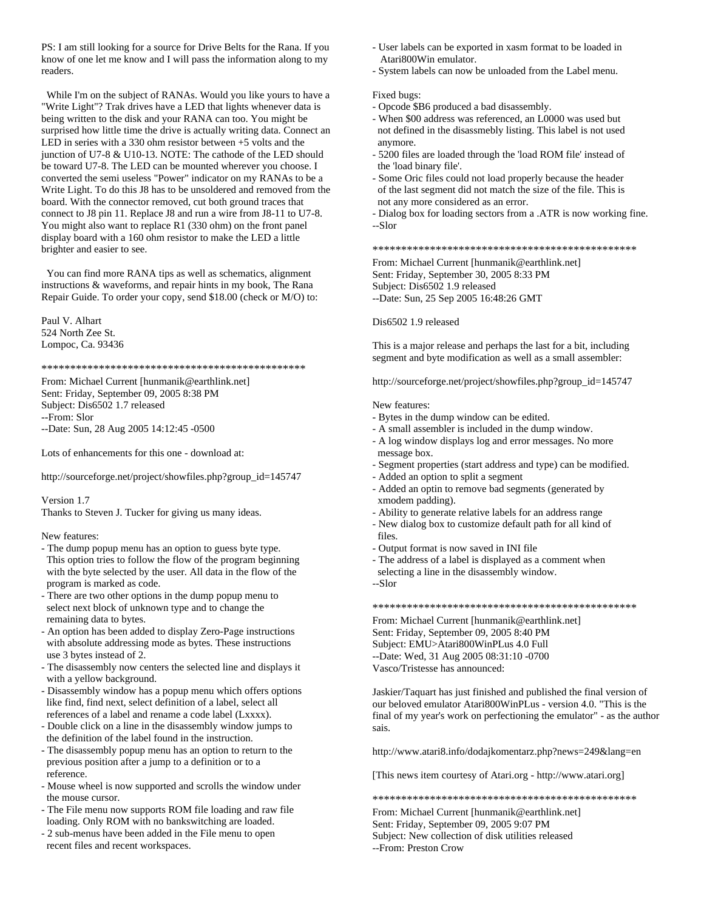PS: I am still looking for a source for Drive Belts for the Rana. If you know of one let me know and I will pass the information along to my readers.

 While I'm on the subject of RANAs. Would you like yours to have a "Write Light"? Trak drives have a LED that lights whenever data is being written to the disk and your RANA can too. You might be surprised how little time the drive is actually writing data. Connect an LED in series with a 330 ohm resistor between +5 volts and the junction of U7-8 & U10-13. NOTE: The cathode of the LED should be toward U7-8. The LED can be mounted wherever you choose. I converted the semi useless "Power" indicator on my RANAs to be a Write Light. To do this J8 has to be unsoldered and removed from the board. With the connector removed, cut both ground traces that connect to J8 pin 11. Replace J8 and run a wire from J8-11 to U7-8. You might also want to replace R1 (330 ohm) on the front panel display board with a 160 ohm resistor to make the LED a little brighter and easier to see.

 You can find more RANA tips as well as schematics, alignment instructions & waveforms, and repair hints in my book, The Rana Repair Guide. To order your copy, send \$18.00 (check or M/O) to:

Paul V. Alhart 524 North Zee St. Lompoc, Ca. 93436

\*\*\*\*\*\*\*\*\*\*\*\*\*\*\*\*\*\*\*\*\*\*\*\*\*\*\*\*\*\*\*\*\*\*\*\*\*\*\*\*\*\*\*\*\*\*

From: Michael Current [hunmanik@earthlink.net] Sent: Friday, September 09, 2005 8:38 PM Subject: Dis6502 1.7 released --From: Slor --Date: Sun, 28 Aug 2005 14:12:45 -0500

Lots of enhancements for this one - download at:

http://sourceforge.net/project/showfiles.php?group\_id=145747

Version 1.7

Thanks to Steven J. Tucker for giving us many ideas.

#### New features:

- The dump popup menu has an option to guess byte type. This option tries to follow the flow of the program beginning with the byte selected by the user. All data in the flow of the program is marked as code.
- There are two other options in the dump popup menu to select next block of unknown type and to change the remaining data to bytes.
- An option has been added to display Zero-Page instructions with absolute addressing mode as bytes. These instructions use 3 bytes instead of 2.
- The disassembly now centers the selected line and displays it with a yellow background.
- Disassembly window has a popup menu which offers options like find, find next, select definition of a label, select all references of a label and rename a code label (Lxxxx).
- Double click on a line in the disassembly window jumps to the definition of the label found in the instruction.
- The disassembly popup menu has an option to return to the previous position after a jump to a definition or to a reference.
- Mouse wheel is now supported and scrolls the window under the mouse cursor.
- The File menu now supports ROM file loading and raw file loading. Only ROM with no bankswitching are loaded.
- 2 sub-menus have been added in the File menu to open recent files and recent workspaces.
- User labels can be exported in xasm format to be loaded in Atari800Win emulator.
- System labels can now be unloaded from the Label menu.

#### Fixed bugs:

- Opcode \$B6 produced a bad disassembly.
- When \$00 address was referenced, an L0000 was used but not defined in the disassmebly listing. This label is not used anymore.
- 5200 files are loaded through the 'load ROM file' instead of the 'load binary file'.
- Some Oric files could not load properly because the header of the last segment did not match the size of the file. This is not any more considered as an error.
- Dialog box for loading sectors from a .ATR is now working fine. --Slor

\*\*\*\*\*\*\*\*\*\*\*\*\*\*\*\*\*\*\*\*\*\*\*\*\*\*\*\*\*\*\*\*\*\*\*\*\*\*\*\*\*\*\*\*\*\*

From: Michael Current [hunmanik@earthlink.net] Sent: Friday, September 30, 2005 8:33 PM Subject: Dis6502 1.9 released --Date: Sun, 25 Sep 2005 16:48:26 GMT

Dis6502 1.9 released

This is a major release and perhaps the last for a bit, including segment and byte modification as well as a small assembler:

http://sourceforge.net/project/showfiles.php?group\_id=145747

#### New features:

- Bytes in the dump window can be edited.
- A small assembler is included in the dump window.
- A log window displays log and error messages. No more message box.
- Segment properties (start address and type) can be modified.
- Added an option to split a segment
- Added an optin to remove bad segments (generated by xmodem padding).
- Ability to generate relative labels for an address range - New dialog box to customize default path for all kind of
- files.
- Output format is now saved in INI file
- The address of a label is displayed as a comment when selecting a line in the disassembly window.
- --Slor

\*\*\*\*\*\*\*\*\*\*\*\*\*\*\*\*\*\*\*\*\*\*\*\*\*\*\*\*\*\*\*\*\*\*\*\*\*\*\*\*\*\*\*\*\*\*

From: Michael Current [hunmanik@earthlink.net] Sent: Friday, September 09, 2005 8:40 PM Subject: EMU>Atari800WinPLus 4.0 Full --Date: Wed, 31 Aug 2005 08:31:10 -0700 Vasco/Tristesse has announced:

Jaskier/Taquart has just finished and published the final version of our beloved emulator Atari800WinPLus - version 4.0. "This is the final of my year's work on perfectioning the emulator" - as the author sais.

http://www.atari8.info/dodajkomentarz.php?news=249&lang=en

[This news item courtesy of Atari.org - http://www.atari.org]

\*\*\*\*\*\*\*\*\*\*\*\*\*\*\*\*\*\*\*\*\*\*\*\*\*\*\*\*\*\*\*\*\*\*\*\*\*\*\*\*\*\*\*\*\*\*

From: Michael Current [hunmanik@earthlink.net] Sent: Friday, September 09, 2005 9:07 PM Subject: New collection of disk utilities released --From: Preston Crow